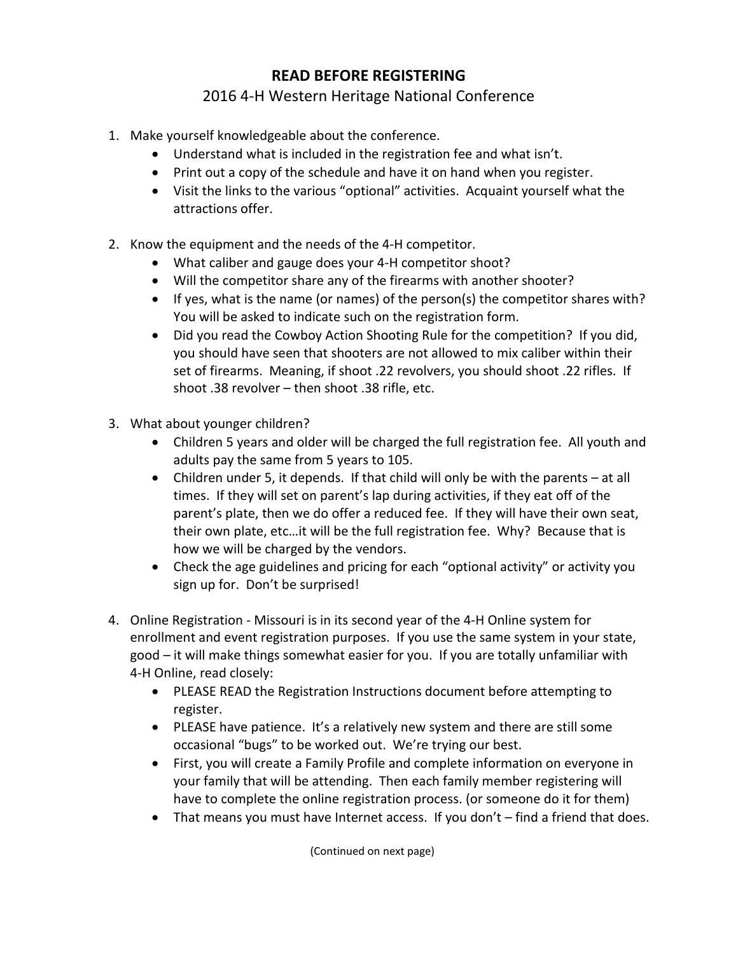## **READ BEFORE REGISTERING**

## 2016 4-H Western Heritage National Conference

- 1. Make yourself knowledgeable about the conference.
	- Understand what is included in the registration fee and what isn't.
	- Print out a copy of the schedule and have it on hand when you register.
	- Visit the links to the various "optional" activities. Acquaint yourself what the attractions offer.
- 2. Know the equipment and the needs of the 4-H competitor.
	- What caliber and gauge does your 4-H competitor shoot?
	- Will the competitor share any of the firearms with another shooter?
	- If yes, what is the name (or names) of the person(s) the competitor shares with? You will be asked to indicate such on the registration form.
	- Did you read the Cowboy Action Shooting Rule for the competition? If you did, you should have seen that shooters are not allowed to mix caliber within their set of firearms. Meaning, if shoot .22 revolvers, you should shoot .22 rifles. If shoot .38 revolver – then shoot .38 rifle, etc.
- 3. What about younger children?
	- Children 5 years and older will be charged the full registration fee. All youth and adults pay the same from 5 years to 105.
	- Children under 5, it depends. If that child will only be with the parents at all times. If they will set on parent's lap during activities, if they eat off of the parent's plate, then we do offer a reduced fee. If they will have their own seat, their own plate, etc…it will be the full registration fee. Why? Because that is how we will be charged by the vendors.
	- Check the age guidelines and pricing for each "optional activity" or activity you sign up for. Don't be surprised!
- 4. Online Registration Missouri is in its second year of the 4-H Online system for enrollment and event registration purposes. If you use the same system in your state, good – it will make things somewhat easier for you. If you are totally unfamiliar with 4-H Online, read closely:
	- PLEASE READ the Registration Instructions document before attempting to register.
	- PLEASE have patience. It's a relatively new system and there are still some occasional "bugs" to be worked out. We're trying our best.
	- First, you will create a Family Profile and complete information on everyone in your family that will be attending. Then each family member registering will have to complete the online registration process. (or someone do it for them)
	- That means you must have Internet access. If you don't find a friend that does.